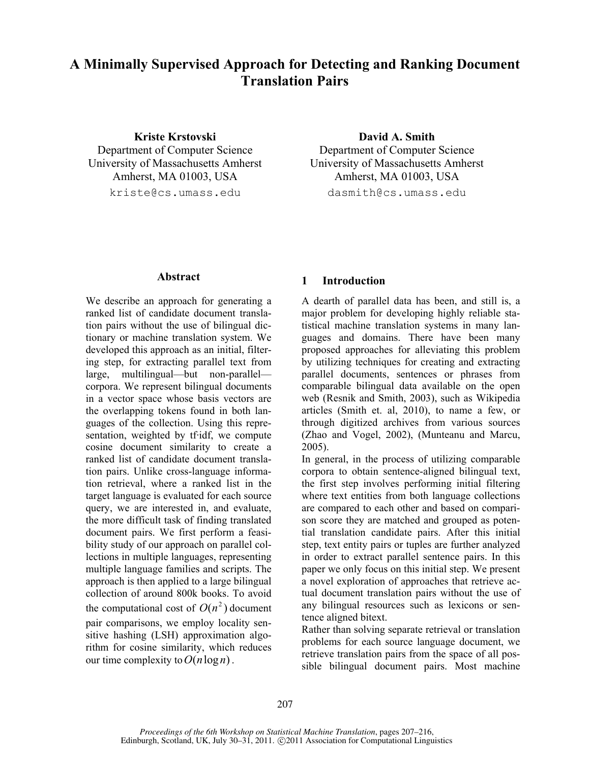# **A Minimally Supervised Approach for Detecting and Ranking Document Translation Pairs**

## **Kriste Krstovski David A. Smith** Department of Computer Science Department of Computer Science University of Massachusetts Amherst University of Massachusetts Amherst Amherst, MA 01003, USA Amherst, MA 01003, USA kriste@cs.umass.edu dasmith@cs.umass.edu

## **Abstract**

We describe an approach for generating a ranked list of candidate document translation pairs without the use of bilingual dictionary or machine translation system. We developed this approach as an initial, filtering step, for extracting parallel text from large, multilingual—but non-parallel corpora. We represent bilingual documents in a vector space whose basis vectors are the overlapping tokens found in both languages of the collection. Using this representation, weighted by tf·idf, we compute cosine document similarity to create a ranked list of candidate document translation pairs. Unlike cross-language information retrieval, where a ranked list in the target language is evaluated for each source query, we are interested in, and evaluate, the more difficult task of finding translated document pairs. We first perform a feasibility study of our approach on parallel collections in multiple languages, representing multiple language families and scripts. The approach is then applied to a large bilingual collection of around 800k books. To avoid the computational cost of  $O(n^2)$  document pair comparisons, we employ locality sensitive hashing (LSH) approximation algorithm for cosine similarity, which reduces our time complexity to  $O(n \log n)$ .

## **1 Introduction**

A dearth of parallel data has been, and still is, a major problem for developing highly reliable statistical machine translation systems in many languages and domains. There have been many proposed approaches for alleviating this problem by utilizing techniques for creating and extracting parallel documents, sentences or phrases from comparable bilingual data available on the open web (Resnik and Smith, 2003), such as Wikipedia articles (Smith et. al, 2010), to name a few, or through digitized archives from various sources (Zhao and Vogel, 2002), (Munteanu and Marcu, 2005).

In general, in the process of utilizing comparable corpora to obtain sentence-aligned bilingual text, the first step involves performing initial filtering where text entities from both language collections are compared to each other and based on comparison score they are matched and grouped as potential translation candidate pairs. After this initial step, text entity pairs or tuples are further analyzed in order to extract parallel sentence pairs. In this paper we only focus on this initial step. We present a novel exploration of approaches that retrieve actual document translation pairs without the use of any bilingual resources such as lexicons or sentence aligned bitext.

Rather than solving separate retrieval or translation problems for each source language document, we retrieve translation pairs from the space of all possible bilingual document pairs. Most machine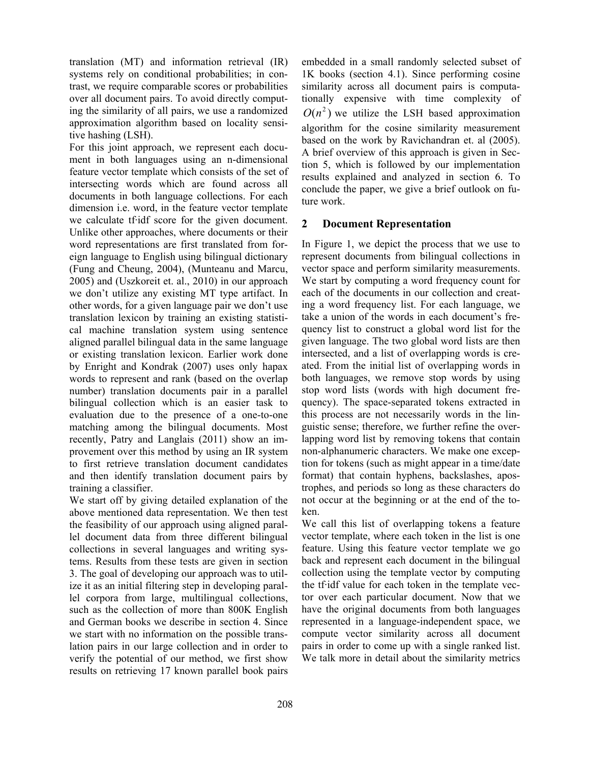translation (MT) and information retrieval (IR) systems rely on conditional probabilities; in contrast, we require comparable scores or probabilities over all document pairs. To avoid directly computing the similarity of all pairs, we use a randomized approximation algorithm based on locality sensitive hashing (LSH).

For this joint approach, we represent each document in both languages using an n-dimensional feature vector template which consists of the set of intersecting words which are found across all documents in both language collections. For each dimension i.e. word, in the feature vector template we calculate tf·idf score for the given document. Unlike other approaches, where documents or their word representations are first translated from foreign language to English using bilingual dictionary (Fung and Cheung, 2004), (Munteanu and Marcu, 2005) and (Uszkoreit et. al., 2010) in our approach we don't utilize any existing MT type artifact. In other words, for a given language pair we don't use translation lexicon by training an existing statistical machine translation system using sentence aligned parallel bilingual data in the same language or existing translation lexicon. Earlier work done by Enright and Kondrak (2007) uses only hapax words to represent and rank (based on the overlap number) translation documents pair in a parallel bilingual collection which is an easier task to evaluation due to the presence of a one-to-one matching among the bilingual documents. Most recently, Patry and Langlais (2011) show an improvement over this method by using an IR system to first retrieve translation document candidates and then identify translation document pairs by training a classifier.

We start off by giving detailed explanation of the above mentioned data representation. We then test the feasibility of our approach using aligned parallel document data from three different bilingual collections in several languages and writing systems. Results from these tests are given in section 3. The goal of developing our approach was to utilize it as an initial filtering step in developing parallel corpora from large, multilingual collections, such as the collection of more than 800K English and German books we describe in section 4. Since we start with no information on the possible translation pairs in our large collection and in order to verify the potential of our method, we first show results on retrieving 17 known parallel book pairs embedded in a small randomly selected subset of 1K books (section 4.1). Since performing cosine similarity across all document pairs is computationally expensive with time complexity of  $O(n^2)$  we utilize the LSH based approximation algorithm for the cosine similarity measurement based on the work by Ravichandran et. al (2005). A brief overview of this approach is given in Section 5, which is followed by our implementation results explained and analyzed in section 6. To conclude the paper, we give a brief outlook on future work.

### **2 Document Representation**

In Figure 1, we depict the process that we use to represent documents from bilingual collections in vector space and perform similarity measurements. We start by computing a word frequency count for each of the documents in our collection and creating a word frequency list. For each language, we take a union of the words in each document's frequency list to construct a global word list for the given language. The two global word lists are then intersected, and a list of overlapping words is created. From the initial list of overlapping words in both languages, we remove stop words by using stop word lists (words with high document frequency). The space-separated tokens extracted in this process are not necessarily words in the linguistic sense; therefore, we further refine the overlapping word list by removing tokens that contain non-alphanumeric characters. We make one exception for tokens (such as might appear in a time/date format) that contain hyphens, backslashes, apostrophes, and periods so long as these characters do not occur at the beginning or at the end of the token.

We call this list of overlapping tokens a feature vector template, where each token in the list is one feature. Using this feature vector template we go back and represent each document in the bilingual collection using the template vector by computing the tf·idf value for each token in the template vector over each particular document. Now that we have the original documents from both languages represented in a language-independent space, we compute vector similarity across all document pairs in order to come up with a single ranked list. We talk more in detail about the similarity metrics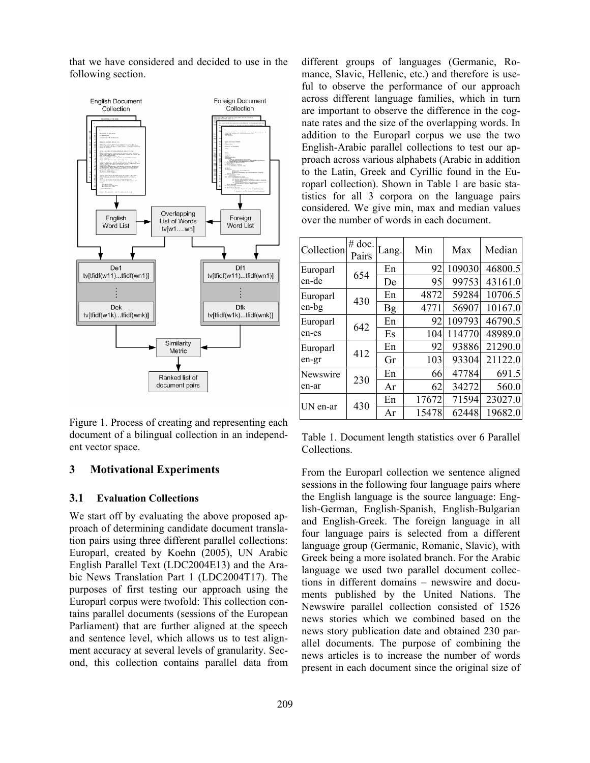that we have considered and decided to use in the following section.



Figure 1. Process of creating and representing each document of a bilingual collection in an independent vector space.

### **3 Motivational Experiments**

#### **3.1 Evaluation Collections**

We start off by evaluating the above proposed approach of determining candidate document translation pairs using three different parallel collections: Europarl, created by Koehn (2005), UN Arabic English Parallel Text (LDC2004E13) and the Arabic News Translation Part 1 (LDC2004T17). The purposes of first testing our approach using the Europarl corpus were twofold: This collection contains parallel documents (sessions of the European Parliament) that are further aligned at the speech and sentence level, which allows us to test alignment accuracy at several levels of granularity. Second, this collection contains parallel data from different groups of languages (Germanic, Romance, Slavic, Hellenic, etc.) and therefore is useful to observe the performance of our approach across different language families, which in turn are important to observe the difference in the cognate rates and the size of the overlapping words. In addition to the Europarl corpus we use the two English-Arabic parallel collections to test our approach across various alphabets (Arabic in addition to the Latin, Greek and Cyrillic found in the Europarl collection). Shown in Table 1 are basic statistics for all 3 corpora on the language pairs considered. We give min, max and median values over the number of words in each document.

| Collection        | $#$ doc.<br>Pairs | Lang.     | Min   | Max    | Median  |
|-------------------|-------------------|-----------|-------|--------|---------|
| Europarl<br>en-de | 654               | En        | 92    | 109030 | 46800.5 |
|                   |                   | De        | 95    | 99753  | 43161.0 |
| Europarl<br>en-bg | 430               | En        | 4872  | 59284  | 10706.5 |
|                   |                   | <b>Bg</b> | 4771  | 56907  | 10167.0 |
| Europarl          | 642               | En        | 92    | 109793 | 46790.5 |
| en-es             |                   | Es        | 104   | 114770 | 48989.0 |
| Europarl          | 412               | En        | 92    | 93886  | 21290.0 |
| en-gr             |                   | Gr        | 103   | 93304  | 21122.0 |
| Newswire<br>en-ar | 230               | En        | 66    | 47784  | 691.5   |
|                   |                   | Ar        | 62    | 34272  | 560.0   |
| UN en-ar          | 430               | En        | 17672 | 71594  | 23027.0 |
|                   |                   | Ar        | 15478 | 62448  | 19682.0 |

Table 1. Document length statistics over 6 Parallel Collections.

From the Europarl collection we sentence aligned sessions in the following four language pairs where the English language is the source language: English-German, English-Spanish, English-Bulgarian and English-Greek. The foreign language in all four language pairs is selected from a different language group (Germanic, Romanic, Slavic), with Greek being a more isolated branch. For the Arabic language we used two parallel document collections in different domains – newswire and documents published by the United Nations. The Newswire parallel collection consisted of 1526 news stories which we combined based on the news story publication date and obtained 230 parallel documents. The purpose of combining the news articles is to increase the number of words present in each document since the original size of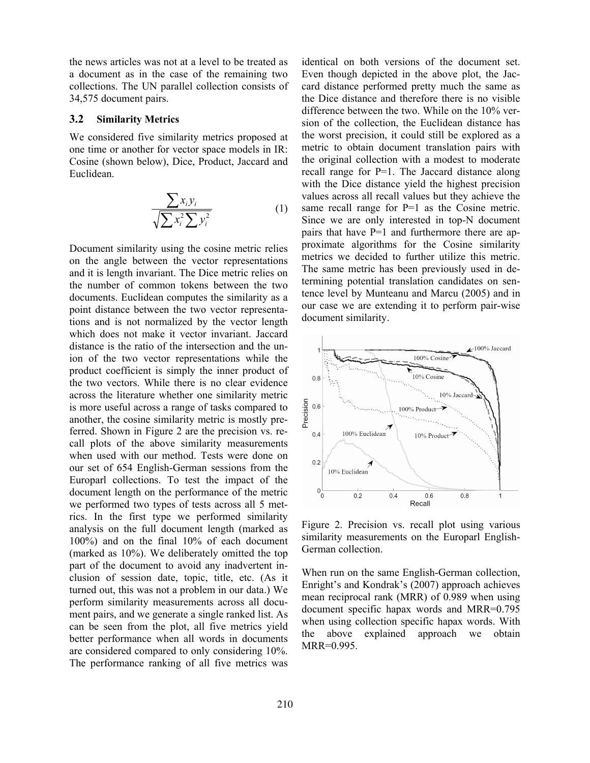the news articles was not at a level to be treated as a document as in the case of the remaining two collections. The UN parallel collection consists of 34,575 document pairs.

#### **3.2 Similarity Metrics**

We considered five similarity metrics proposed at one time or another for vector space models in IR: Cosine (shown below), Dice, Product, Jaccard and Euclidean.

$$
\frac{\sum x_i y_i}{\sqrt{\sum x_i^2 \sum y_i^2}} \tag{1}
$$

Document similarity using the cosine metric relies on the angle between the vector representations and it is length invariant. The Dice metric relies on the number of common tokens between the two documents. Euclidean computes the similarity as a point distance between the two vector representations and is not normalized by the vector length which does not make it vector invariant. Jaccard distance is the ratio of the intersection and the union of the two vector representations while the product coefficient is simply the inner product of the two vectors. While there is no clear evidence across the literature whether one similarity metric is more useful across a range of tasks compared to another, the cosine similarity metric is mostly preferred. Shown in Figure 2 are the precision vs. recall plots of the above similarity measurements when used with our method. Tests were done on our set of 654 English-German sessions from the Europarl collections. To test the impact of the document length on the performance of the metric we performed two types of tests across all 5 metrics. In the first type we performed similarity analysis on the full document length (marked as 100%) and on the final 10% of each document (marked as 10%). We deliberately omitted the top part of the document to avoid any inadvertent inclusion of session date, topic, title, etc. (As it turned out, this was not a problem in our data.) We perform similarity measurements across all document pairs, and we generate a single ranked list. As can be seen from the plot, all five metrics yield better performance when all words in documents are considered compared to only considering 10%. The performance ranking of all five metrics was

identical on both versions of the document set. Even though depicted in the above plot, the Jaccard distance performed pretty much the same as the Dice distance and therefore there is no visible difference between the two. While on the 10% version of the collection, the Euclidean distance has the worst precision, it could still be explored as a metric to obtain document translation pairs with the original collection with a modest to moderate recall range for P=1. The Jaccard distance along with the Dice distance yield the highest precision values across all recall values but they achieve the same recall range for  $P=1$  as the Cosine metric. Since we are only interested in top-N document pairs that have P=1 and furthermore there are approximate algorithms for the Cosine similarity metrics we decided to further utilize this metric. The same metric has been previously used in determining potential translation candidates on sentence level by Munteanu and Marcu (2005) and in our case we are extending it to perform pair-wise document similarity.



Figure 2. Precision vs. recall plot using various similarity measurements on the Europarl English-German collection.

When run on the same English-German collection, Enright's and Kondrak's (2007) approach achieves mean reciprocal rank (MRR) of 0.989 when using document specific hapax words and MRR=0.795 when using collection specific hapax words. With the above explained approach we obtain MRR=0.995.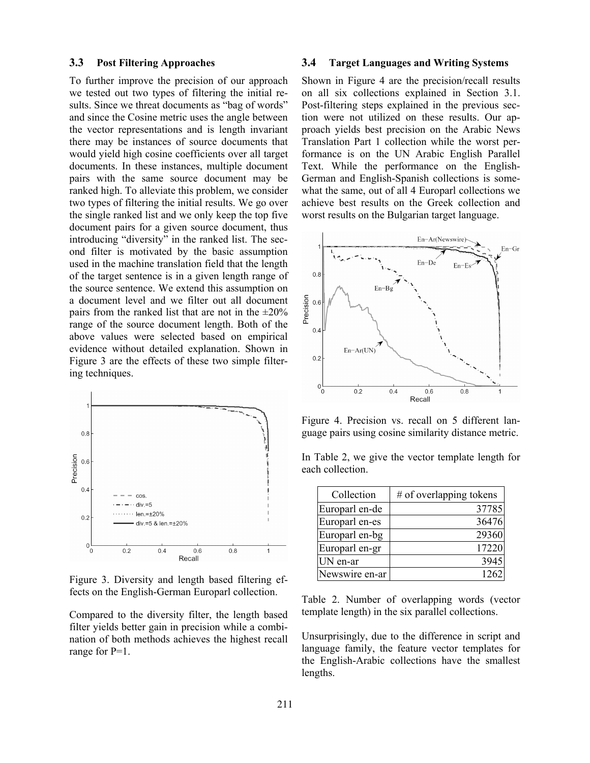#### **3.3 Post Filtering Approaches**

To further improve the precision of our approach we tested out two types of filtering the initial results. Since we threat documents as "bag of words" and since the Cosine metric uses the angle between the vector representations and is length invariant there may be instances of source documents that would yield high cosine coefficients over all target documents. In these instances, multiple document pairs with the same source document may be ranked high. To alleviate this problem, we consider two types of filtering the initial results. We go over the single ranked list and we only keep the top five document pairs for a given source document, thus introducing "diversity" in the ranked list. The second filter is motivated by the basic assumption used in the machine translation field that the length of the target sentence is in a given length range of the source sentence. We extend this assumption on a document level and we filter out all document pairs from the ranked list that are not in the  $\pm 20\%$ range of the source document length. Both of the above values were selected based on empirical evidence without detailed explanation. Shown in Figure 3 are the effects of these two simple filtering techniques.



Figure 3. Diversity and length based filtering effects on the English-German Europarl collection.

Compared to the diversity filter, the length based filter yields better gain in precision while a combination of both methods achieves the highest recall range for P=1.

#### **3.4 Target Languages and Writing Systems**

Shown in Figure 4 are the precision/recall results on all six collections explained in Section 3.1. Post-filtering steps explained in the previous section were not utilized on these results. Our approach yields best precision on the Arabic News Translation Part 1 collection while the worst performance is on the UN Arabic English Parallel Text. While the performance on the English-German and English-Spanish collections is somewhat the same, out of all 4 Europarl collections we achieve best results on the Greek collection and worst results on the Bulgarian target language.



Figure 4. Precision vs. recall on 5 different language pairs using cosine similarity distance metric.

In Table 2, we give the vector template length for each collection.

| Collection     | $#$ of overlapping tokens |
|----------------|---------------------------|
| Europarl en-de | 37785                     |
| Europarl en-es | 36476                     |
| Europarl en-bg | 29360                     |
| Europarl en-gr | 17220                     |
| UN en-ar       | 3945                      |
| Newswire en-ar | 1262                      |

Table 2. Number of overlapping words (vector template length) in the six parallel collections.

Unsurprisingly, due to the difference in script and language family, the feature vector templates for the English-Arabic collections have the smallest lengths.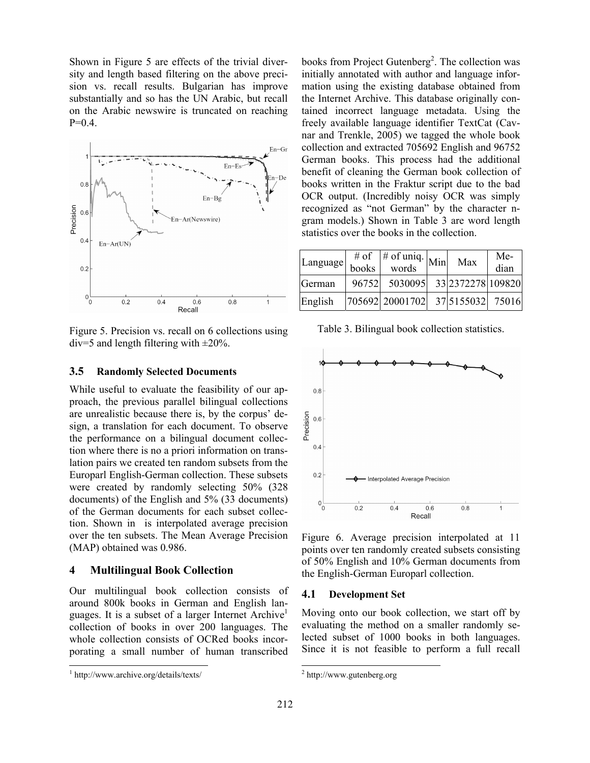Shown in Figure 5 are effects of the trivial diversity and length based filtering on the above precision vs. recall results. Bulgarian has improve substantially and so has the UN Arabic, but recall on the Arabic newswire is truncated on reaching  $P=0.4$ .



Figure 5. Precision vs. recall on 6 collections using  $div=5$  and length filtering with  $\pm 20\%$ .

#### **3.5 Randomly Selected Documents**

While useful to evaluate the feasibility of our approach, the previous parallel bilingual collections are unrealistic because there is, by the corpus' design, a translation for each document. To observe the performance on a bilingual document collection where there is no a priori information on translation pairs we created ten random subsets from the Europarl English-German collection. These subsets were created by randomly selecting 50% (328 documents) of the English and 5% (33 documents) of the German documents for each subset collection. Shown in is interpolated average precision over the ten subsets. The Mean Average Precision (MAP) obtained was 0.986.

#### **4 Multilingual Book Collection**

Our multilingual book collection consists of around 800k books in German and English languages. It is a subset of a larger Internet Archive<sup>1</sup> collection of books in over 200 languages. The whole collection consists of OCRed books incorporating a small number of human transcribed

 $\overline{a}$ 

books from Project Gutenberg<sup>2</sup>. The collection was initially annotated with author and language information using the existing database obtained from the Internet Archive. This database originally contained incorrect language metadata. Using the freely available language identifier TextCat (Cavnar and Trenkle, 2005) we tagged the whole book collection and extracted 705692 English and 96752 German books. This process had the additional benefit of cleaning the German book collection of books written in the Fraktur script due to the bad OCR output. (Incredibly noisy OCR was simply recognized as "not German" by the character ngram models.) Shown in Table 3 are word length statistics over the books in the collection.

| Language |       | $\frac{4}{\pi}$ of $\frac{4}{\pi}$ of uniq. Minu | Max               | Me-<br>dian |
|----------|-------|--------------------------------------------------|-------------------|-------------|
| German   | 96752 | 5030095                                          | 33 2372278 109820 |             |
| English  |       | 705692 20001702                                  | 37 5155032        | 75016       |

Table 3. Bilingual book collection statistics.



Figure 6. Average precision interpolated at 11 points over ten randomly created subsets consisting of 50% English and 10% German documents from the English-German Europarl collection.

#### **4.1 Development Set**

Moving onto our book collection, we start off by evaluating the method on a smaller randomly selected subset of 1000 books in both languages. Since it is not feasible to perform a full recall

<sup>1</sup> http://www.archive.org/details/texts/

 2 http://www.gutenberg.org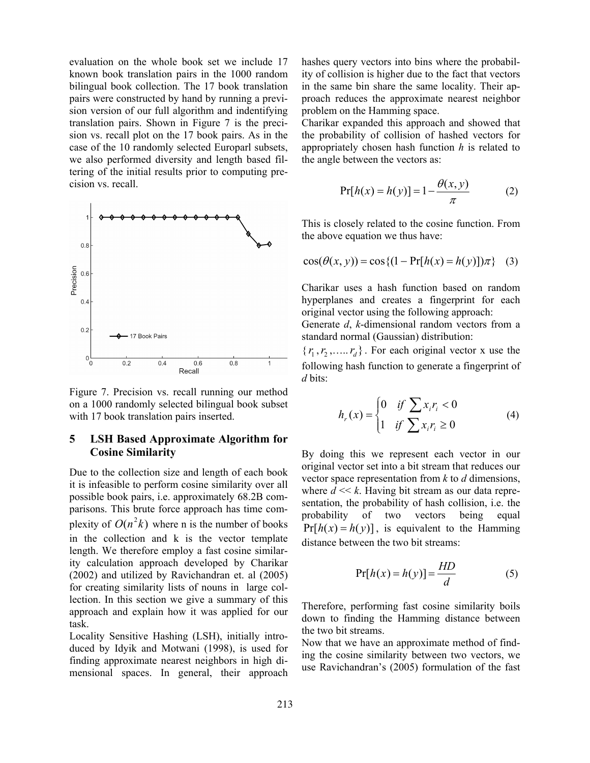evaluation on the whole book set we include 17 known book translation pairs in the 1000 random bilingual book collection. The 17 book translation pairs were constructed by hand by running a prevision version of our full algorithm and indentifying translation pairs. Shown in Figure 7 is the precision vs. recall plot on the 17 book pairs. As in the case of the 10 randomly selected Europarl subsets, we also performed diversity and length based filtering of the initial results prior to computing precision vs. recall.



Figure 7. Precision vs. recall running our method on a 1000 randomly selected bilingual book subset with 17 book translation pairs inserted.

## **5 LSH Based Approximate Algorithm for Cosine Similarity**

Due to the collection size and length of each book it is infeasible to perform cosine similarity over all possible book pairs, i.e. approximately 68.2B comparisons. This brute force approach has time complexity of  $O(n^2k)$  where n is the number of books in the collection and k is the vector template length. We therefore employ a fast cosine similarity calculation approach developed by Charikar (2002) and utilized by Ravichandran et. al (2005) for creating similarity lists of nouns in large collection. In this section we give a summary of this approach and explain how it was applied for our task.

Locality Sensitive Hashing (LSH), initially introduced by Idyik and Motwani (1998), is used for finding approximate nearest neighbors in high dimensional spaces. In general, their approach hashes query vectors into bins where the probability of collision is higher due to the fact that vectors in the same bin share the same locality. Their approach reduces the approximate nearest neighbor problem on the Hamming space.

Charikar expanded this approach and showed that the probability of collision of hashed vectors for appropriately chosen hash function *h* is related to the angle between the vectors as:

$$
Pr[h(x) = h(y)] = 1 - \frac{\theta(x, y)}{\pi}
$$
 (2)

This is closely related to the cosine function. From the above equation we thus have:

$$
\cos(\theta(x, y)) = \cos\{(1 - \Pr[h(x) = h(y)]\pi\} \quad (3)
$$

Charikar uses a hash function based on random hyperplanes and creates a fingerprint for each original vector using the following approach:

Generate *d*, *k*-dimensional random vectors from a standard normal (Gaussian) distribution:

 $\{r_1, r_2, \ldots, r_d\}$ . For each original vector x use the following hash function to generate a fingerprint of *d* bits:

$$
h_r(x) = \begin{cases} 0 & \text{if } \sum x_i r_i < 0 \\ 1 & \text{if } \sum x_i r_i \ge 0 \end{cases}
$$
 (4)

By doing this we represent each vector in our original vector set into a bit stream that reduces our vector space representation from *k* to *d* dimensions, where  $d \ll k$ . Having bit stream as our data representation, the probability of hash collision, i.e. the probability of two vectors being equal  $Pr[h(x) = h(y)]$ , is equivalent to the Hamming distance between the two bit streams:

$$
Pr[h(x) = h(y)] = \frac{HD}{d}
$$
 (5)

Therefore, performing fast cosine similarity boils down to finding the Hamming distance between the two bit streams.

Now that we have an approximate method of finding the cosine similarity between two vectors, we use Ravichandran's (2005) formulation of the fast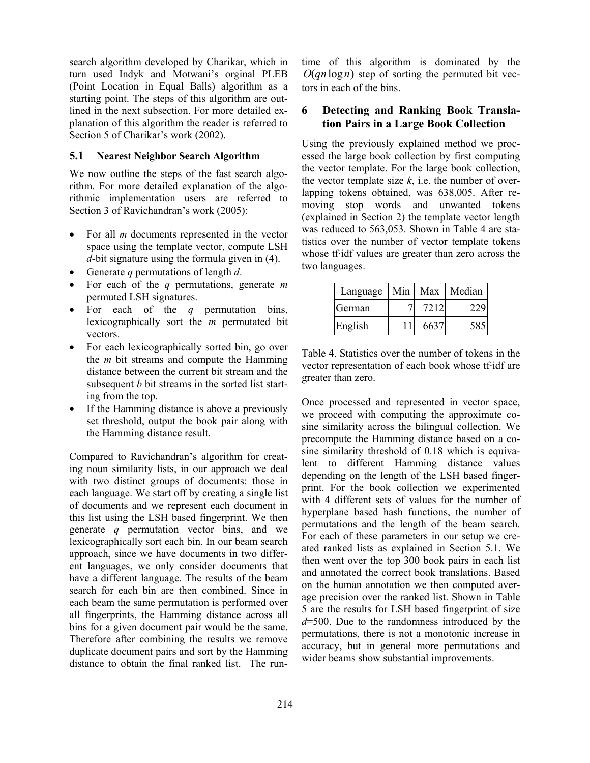search algorithm developed by Charikar, which in turn used Indyk and Motwani's orginal PLEB (Point Location in Equal Balls) algorithm as a starting point. The steps of this algorithm are outlined in the next subsection. For more detailed explanation of this algorithm the reader is referred to Section 5 of Charikar's work (2002).

## **5.1 Nearest Neighbor Search Algorithm**

We now outline the steps of the fast search algorithm. For more detailed explanation of the algorithmic implementation users are referred to Section 3 of Ravichandran's work (2005):

- For all *m* documents represented in the vector space using the template vector, compute LSH *d*-bit signature using the formula given in (4).
- Generate *q* permutations of length *d*.
- For each of the *q* permutations, generate *m* permuted LSH signatures.
- For each of the *q* permutation bins, lexicographically sort the *m* permutated bit vectors.
- For each lexicographically sorted bin, go over the *m* bit streams and compute the Hamming distance between the current bit stream and the subsequent *b* bit streams in the sorted list starting from the top.
- If the Hamming distance is above a previously set threshold, output the book pair along with the Hamming distance result.

Compared to Ravichandran's algorithm for creating noun similarity lists, in our approach we deal with two distinct groups of documents: those in each language. We start off by creating a single list of documents and we represent each document in this list using the LSH based fingerprint. We then generate *q* permutation vector bins, and we lexicographically sort each bin. In our beam search approach, since we have documents in two different languages, we only consider documents that have a different language. The results of the beam search for each bin are then combined. Since in each beam the same permutation is performed over all fingerprints, the Hamming distance across all bins for a given document pair would be the same. Therefore after combining the results we remove duplicate document pairs and sort by the Hamming distance to obtain the final ranked list. The runtime of this algorithm is dominated by the *O*(*qn* log*n*) step of sorting the permuted bit vectors in each of the bins.

## **6 Detecting and Ranking Book Translation Pairs in a Large Book Collection**

Using the previously explained method we processed the large book collection by first computing the vector template. For the large book collection, the vector template size  $k$ , i.e. the number of overlapping tokens obtained, was 638,005. After removing stop words and unwanted tokens (explained in Section 2) the template vector length was reduced to 563,053. Shown in Table 4 are statistics over the number of vector template tokens whose tf·idf values are greater than zero across the two languages.

| Language | Min | Max  | Median |
|----------|-----|------|--------|
| German   |     | 7212 | 229    |
| English  |     | 6637 | 585    |

Table 4. Statistics over the number of tokens in the vector representation of each book whose tf·idf are greater than zero.

Once processed and represented in vector space, we proceed with computing the approximate cosine similarity across the bilingual collection. We precompute the Hamming distance based on a cosine similarity threshold of 0.18 which is equivalent to different Hamming distance values depending on the length of the LSH based fingerprint. For the book collection we experimented with 4 different sets of values for the number of hyperplane based hash functions, the number of permutations and the length of the beam search. For each of these parameters in our setup we created ranked lists as explained in Section 5.1. We then went over the top 300 book pairs in each list and annotated the correct book translations. Based on the human annotation we then computed average precision over the ranked list. Shown in Table 5 are the results for LSH based fingerprint of size *d*=500. Due to the randomness introduced by the permutations, there is not a monotonic increase in accuracy, but in general more permutations and wider beams show substantial improvements.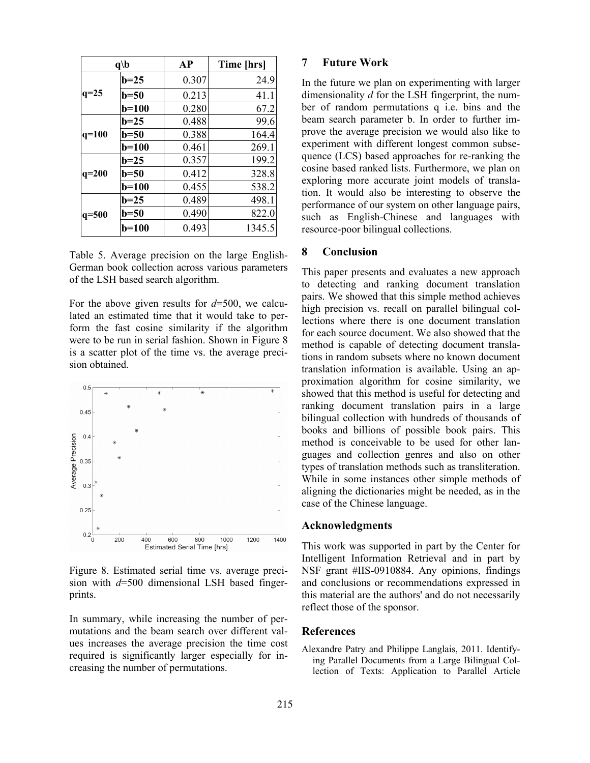|         | q/b          | <b>AP</b> | Time [hrs] |
|---------|--------------|-----------|------------|
| $q=25$  | $b=25$       | 0.307     | 24.9       |
|         | $b=50$       | 0.213     | 41.1       |
|         | $b=100$      | 0.280     | 67.2       |
| $q=100$ | $b=25$       | 0.488     | 99.6       |
|         | $b=50$       | 0.388     | 164.4      |
|         | <b>b=100</b> | 0.461     | 269.1      |
| $q=200$ | $b=25$       | 0.357     | 199.2      |
|         | $b=50$       | 0.412     | 328.8      |
|         | $b=100$      | 0.455     | 538.2      |
| $q=500$ | $b=25$       | 0.489     | 498.1      |
|         | b=50         | 0.490     | 822.0      |
|         | b=100        | 0.493     | 1345.5     |

Table 5. Average precision on the large English-German book collection across various parameters of the LSH based search algorithm.

For the above given results for *d*=500, we calculated an estimated time that it would take to perform the fast cosine similarity if the algorithm were to be run in serial fashion. Shown in Figure 8 is a scatter plot of the time vs. the average precision obtained.



Figure 8. Estimated serial time vs. average precision with *d*=500 dimensional LSH based fingerprints.

In summary, while increasing the number of permutations and the beam search over different values increases the average precision the time cost required is significantly larger especially for increasing the number of permutations.

#### **7 Future Work**

In the future we plan on experimenting with larger dimensionality *d* for the LSH fingerprint, the number of random permutations q i.e. bins and the beam search parameter b. In order to further improve the average precision we would also like to experiment with different longest common subsequence (LCS) based approaches for re-ranking the cosine based ranked lists. Furthermore, we plan on exploring more accurate joint models of translation. It would also be interesting to observe the performance of our system on other language pairs, such as English-Chinese and languages with resource-poor bilingual collections.

#### **8 Conclusion**

This paper presents and evaluates a new approach to detecting and ranking document translation pairs. We showed that this simple method achieves high precision vs. recall on parallel bilingual collections where there is one document translation for each source document. We also showed that the method is capable of detecting document translations in random subsets where no known document translation information is available. Using an approximation algorithm for cosine similarity, we showed that this method is useful for detecting and ranking document translation pairs in a large bilingual collection with hundreds of thousands of books and billions of possible book pairs. This method is conceivable to be used for other languages and collection genres and also on other types of translation methods such as transliteration. While in some instances other simple methods of aligning the dictionaries might be needed, as in the case of the Chinese language.

#### **Acknowledgments**

This work was supported in part by the Center for Intelligent Information Retrieval and in part by NSF grant #IIS-0910884. Any opinions, findings and conclusions or recommendations expressed in this material are the authors' and do not necessarily reflect those of the sponsor.

#### **References**

Alexandre Patry and Philippe Langlais, 2011. Identifying Parallel Documents from a Large Bilingual Collection of Texts: Application to Parallel Article